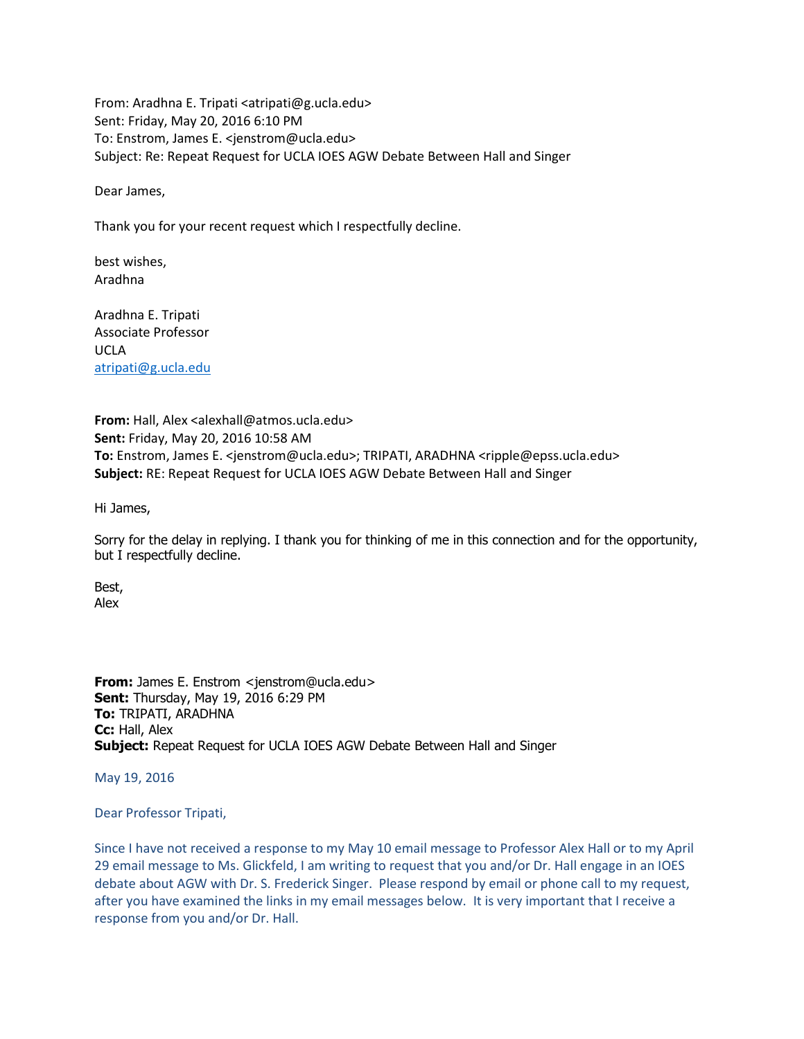From: Aradhna E. Tripati <atripati@g.ucla.edu> Sent: Friday, May 20, 2016 6:10 PM To: Enstrom, James E. <jenstrom@ucla.edu> Subject: Re: Repeat Request for UCLA IOES AGW Debate Between Hall and Singer

Dear James,

Thank you for your recent request which I respectfully decline.

best wishes, Aradhna

Aradhna E. Tripati Associate Professor UCLA [atripati@g.ucla.edu](mailto:atripati@g.ucla.edu)

**From:** Hall, Alex <alexhall@atmos.ucla.edu> **Sent:** Friday, May 20, 2016 10:58 AM **To:** Enstrom, James E. <jenstrom@ucla.edu>; TRIPATI, ARADHNA <ripple@epss.ucla.edu> **Subject:** RE: Repeat Request for UCLA IOES AGW Debate Between Hall and Singer

Hi James,

Sorry for the delay in replying. I thank you for thinking of me in this connection and for the opportunity, but I respectfully decline.

Best, Alex

**From:** James E. Enstrom <jenstrom@ucla.edu> **Sent:** Thursday, May 19, 2016 6:29 PM **To:** TRIPATI, ARADHNA **Cc:** Hall, Alex **Subject:** Repeat Request for UCLA IOES AGW Debate Between Hall and Singer

May 19, 2016

Dear Professor Tripati,

Since I have not received a response to my May 10 email message to Professor Alex Hall or to my April 29 email message to Ms. Glickfeld, I am writing to request that you and/or Dr. Hall engage in an IOES debate about AGW with Dr. S. Frederick Singer. Please respond by email or phone call to my request, after you have examined the links in my email messages below. It is very important that I receive a response from you and/or Dr. Hall.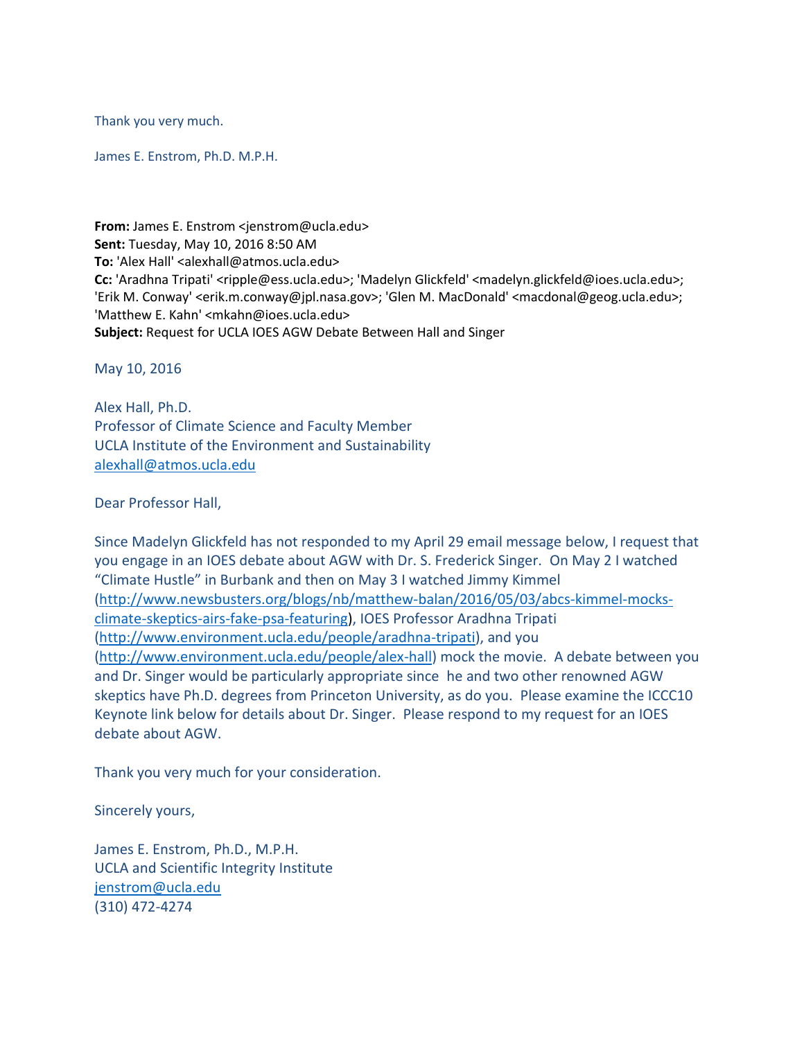Thank you very much.

James E. Enstrom, Ph.D. M.P.H.

**From:** James E. Enstrom <jenstrom@ucla.edu> **Sent:** Tuesday, May 10, 2016 8:50 AM **To:** 'Alex Hall' <alexhall@atmos.ucla.edu> **Cc:** 'Aradhna Tripati' <ripple@ess.ucla.edu>; 'Madelyn Glickfeld' <madelyn.glickfeld@ioes.ucla.edu>; 'Erik M. Conway' <erik.m.conway@jpl.nasa.gov>; 'Glen M. MacDonald' <macdonal@geog.ucla.edu>; 'Matthew E. Kahn' <mkahn@ioes.ucla.edu> **Subject:** Request for UCLA IOES AGW Debate Between Hall and Singer

May 10, 2016

Alex Hall, Ph.D. Professor of Climate Science and Faculty Member UCLA Institute of the Environment and Sustainability [alexhall@atmos.ucla.edu](mailto:alexhall@atmos.ucla.edu)

Dear Professor Hall,

Since Madelyn Glickfeld has not responded to my April 29 email message below, I request that you engage in an IOES debate about AGW with Dr. S. Frederick Singer. On May 2 I watched "Climate Hustle" in Burbank and then on May 3 I watched Jimmy Kimmel [\(http://www.newsbusters.org/blogs/nb/matthew-balan/2016/05/03/abcs-kimmel-mocks](http://www.newsbusters.org/blogs/nb/matthew-balan/2016/05/03/abcs-kimmel-mocks-climate-skeptics-airs-fake-psa-featuring)[climate-skeptics-airs-fake-psa-featuring\)](http://www.newsbusters.org/blogs/nb/matthew-balan/2016/05/03/abcs-kimmel-mocks-climate-skeptics-airs-fake-psa-featuring), IOES Professor Aradhna Tripati [\(http://www.environment.ucla.edu/people/aradhna-tripati\)](http://www.environment.ucla.edu/people/aradhna-tripati), and you [\(http://www.environment.ucla.edu/people/alex-hall\)](http://www.environment.ucla.edu/people/alex-hall) mock the movie. A debate between you and Dr. Singer would be particularly appropriate since he and two other renowned AGW skeptics have Ph.D. degrees from Princeton University, as do you. Please examine the ICCC10 Keynote link below for details about Dr. Singer. Please respond to my request for an IOES debate about AGW.

Thank you very much for your consideration.

Sincerely yours,

James E. Enstrom, Ph.D., M.P.H. UCLA and Scientific Integrity Institute [jenstrom@ucla.edu](mailto:jenstrom@ucla.edu) (310) 472-4274